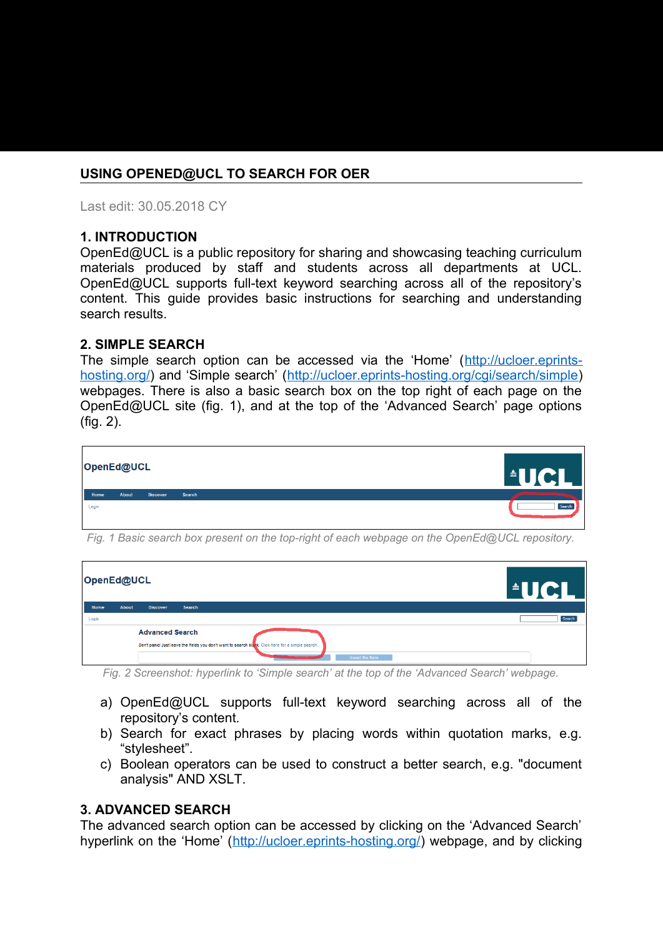# **USING OPENED@UCL TO SEARCH FOR OER**

Last edit: 30.05.2018 CY

#### **1. INTRODUCTION**

OpenEd@UCL is a public repository for sharing and showcasing teaching curriculum materials produced by staff and students across all departments at UCL. OpenEd@UCL supports full-text keyword searching across all of the repository's content. This guide provides basic instructions for searching and understanding search results.

#### **2. SIMPLE SEARCH**

The simple search option can be accessed via the 'Home' ([http://ucloer.eprints](http://ucloer.eprints-hosting.org/)[hosting.org/\)](http://ucloer.eprints-hosting.org/) and 'Simple search' (<http://ucloer.eprints-hosting.org/cgi/search/simple>) webpages. There is also a basic search box on the top right of each page on the OpenEd@UCL site (fig. 1), and at the top of the 'Advanced Search' page options (fig. 2).



*Fig. 1 Basic search box present on the top-right of each webpage on the OpenEd@UCL repository.*

| OpenEd@UCL             |              | <b>AIGH</b>                                                                                        |        |  |  |  |
|------------------------|--------------|----------------------------------------------------------------------------------------------------|--------|--|--|--|
| Home                   | <b>About</b> | <b>Discover</b><br>Search                                                                          |        |  |  |  |
| Login                  |              |                                                                                                    | Search |  |  |  |
| <b>Advanced Search</b> |              |                                                                                                    |        |  |  |  |
|                        |              | Don't panic! Just leave the fields you don't want to search blank. Click here for a simple search. |        |  |  |  |
|                        |              | Reset the form                                                                                     |        |  |  |  |

*Fig. 2 Screenshot: hyperlink to 'Simple search' at the top of the 'Advanced Search' webpage.*

- a) OpenEd@UCL supports full-text keyword searching across all of the repository's content.
- b) Search for exact phrases by placing words within quotation marks, e.g. "stylesheet".
- c) Boolean operators can be used to construct a better search, e.g. "document analysis" AND XSLT.

#### **3. ADVANCED SEARCH**

The advanced search option can be accessed by clicking on the 'Advanced Search' hyperlink on the 'Home' ([http://ucloer.eprints-hosting.org/\)](http://ucloer.eprints-hosting.org/) webpage, and by clicking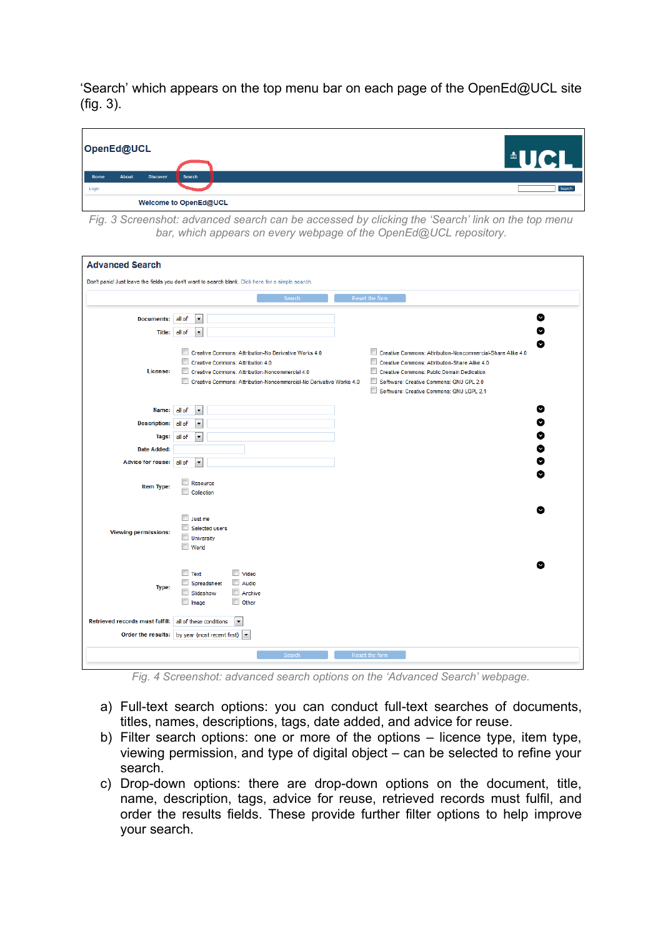'Search' which appears on the top menu bar on each page of the OpenEd@UCL site (fig. 3).



*Fig. 3 Screenshot: advanced search can be accessed by clicking the 'Search' link on the top menu bar, which appears on every webpage of the OpenEd@UCL repository.* 

| <b>Advanced Search</b>                                  | Don't panic! Just leave the fields you don't want to search blank. Click here for a simple search.                                                                                                                                                                                                                                                                                                                                                                                                                                                                                |        |  |  |  |  |  |
|---------------------------------------------------------|-----------------------------------------------------------------------------------------------------------------------------------------------------------------------------------------------------------------------------------------------------------------------------------------------------------------------------------------------------------------------------------------------------------------------------------------------------------------------------------------------------------------------------------------------------------------------------------|--------|--|--|--|--|--|
| Reset the form<br>Search                                |                                                                                                                                                                                                                                                                                                                                                                                                                                                                                                                                                                                   |        |  |  |  |  |  |
| Documents: all of<br>Title:                             | $\blacktriangledown$<br>all of<br>$\overline{\phantom{a}}$                                                                                                                                                                                                                                                                                                                                                                                                                                                                                                                        | Ø<br>Ø |  |  |  |  |  |
| License:                                                | $\Box$<br>Creative Commons: Attribution-No Derivative Works 4.0<br>$\Box$<br>Creative Commons: Attribution-Noncommercial-Share Alike 4.0<br>$\overline{\phantom{a}}$<br>Creative Commons: Attribution-Share Alike 4.0<br>Creative Commons: Attribution 4.0<br>$\blacksquare$<br>$\Box$<br>Creative Commons: Attribution-Noncommercial 4.0<br>Creative Commons: Public Domain Dedication<br>Creative Commons: Attribution-Noncommercial-No Derivative Works 4.0<br>$\Box$<br>Software: Creative Commons: GNU GPL 2.0<br>$\blacksquare$<br>Software: Creative Commons: GNU LGPL 2.1 | Ø      |  |  |  |  |  |
| Name: all of                                            | ۰                                                                                                                                                                                                                                                                                                                                                                                                                                                                                                                                                                                 | 0      |  |  |  |  |  |
| Description: all of<br>Tags: all of                     | $\blacktriangledown$<br>$\overline{\phantom{a}}$                                                                                                                                                                                                                                                                                                                                                                                                                                                                                                                                  | Ø<br>Ø |  |  |  |  |  |
| <b>Date Added:</b>                                      |                                                                                                                                                                                                                                                                                                                                                                                                                                                                                                                                                                                   | Ø      |  |  |  |  |  |
| Advice for reuse: all of                                | $\blacktriangledown$                                                                                                                                                                                                                                                                                                                                                                                                                                                                                                                                                              | Ø      |  |  |  |  |  |
| Item Type:                                              | Resource<br>Collection                                                                                                                                                                                                                                                                                                                                                                                                                                                                                                                                                            | Ø      |  |  |  |  |  |
| <b>Viewing permissions:</b>                             | Just me<br>$\overline{\phantom{a}}$<br>Selected users<br><b>University</b><br>World                                                                                                                                                                                                                                                                                                                                                                                                                                                                                               |        |  |  |  |  |  |
| Type:                                                   | $\Box$ Text<br>Video<br>Audio<br>Spreadsheet<br>Slideshow<br>Archive<br><b>Image</b><br>Other                                                                                                                                                                                                                                                                                                                                                                                                                                                                                     |        |  |  |  |  |  |
| Retrieved records must fulfill: all of these conditions | $\overline{\phantom{a}}$                                                                                                                                                                                                                                                                                                                                                                                                                                                                                                                                                          |        |  |  |  |  |  |
|                                                         | Order the results: by year (most recent first) $\vert \bullet \vert$                                                                                                                                                                                                                                                                                                                                                                                                                                                                                                              |        |  |  |  |  |  |

*Fig. 4 Screenshot: advanced search options on the 'Advanced Search' webpage.*

- a) Full-text search options: you can conduct full-text searches of documents, titles, names, descriptions, tags, date added, and advice for reuse.
- b) Filter search options: one or more of the options licence type, item type, viewing permission, and type of digital object – can be selected to refine your search.
- c) Drop-down options: there are drop-down options on the document, title, name, description, tags, advice for reuse, retrieved records must fulfil, and order the results fields. These provide further filter options to help improve your search.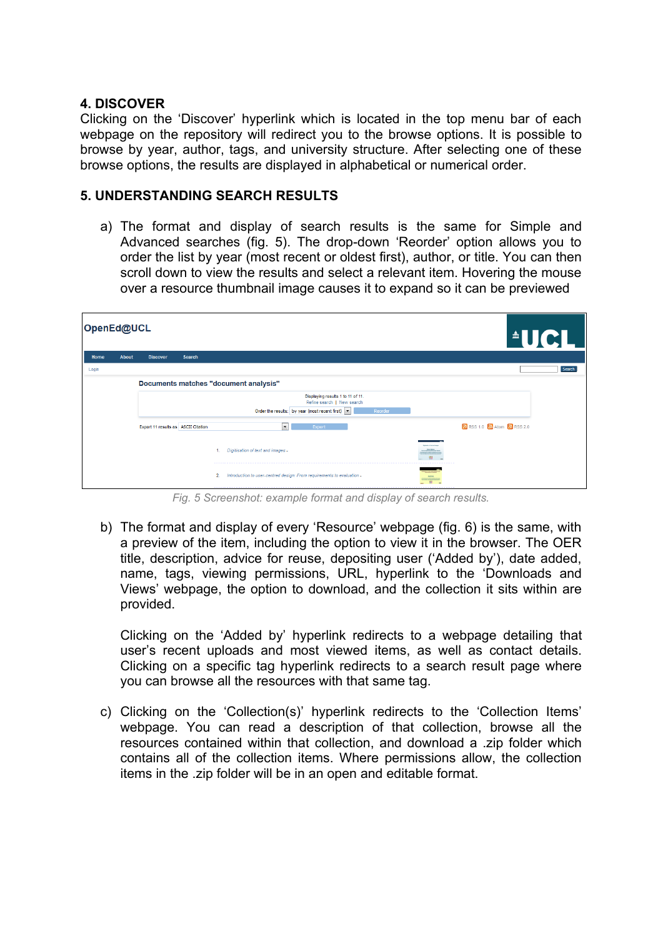## **4. DISCOVER**

Clicking on the 'Discover' hyperlink which is located in the top menu bar of each webpage on the repository will redirect you to the browse options. It is possible to browse by year, author, tags, and university structure. After selecting one of these browse options, the results are displayed in alphabetical or numerical order.

## **5. UNDERSTANDING SEARCH RESULTS**

a) The format and display of search results is the same for Simple and Advanced searches (fig. 5). The drop-down 'Reorder' option allows you to order the list by year (most recent or oldest first), author, or title. You can then scroll down to view the results and select a relevant item. Hovering the mouse over a resource thumbnail image causes it to expand so it can be previewed

| OpenEd@UCL |       |                                     |        |                                                                              | <b>AUCI</b>                                           |        |
|------------|-------|-------------------------------------|--------|------------------------------------------------------------------------------|-------------------------------------------------------|--------|
| Home       | About | <b>Discover</b>                     | Search |                                                                              |                                                       |        |
| Login      |       |                                     |        |                                                                              |                                                       | Search |
|            |       |                                     |        | Documents matches "document analysis"                                        |                                                       |        |
|            |       |                                     |        | Displaying results 1 to 11 of 11.<br>Refine search   New search              |                                                       |        |
|            |       |                                     |        | Order the results: by year (most recent first) $\boxed{\bullet}$<br>Reorder  |                                                       |        |
|            |       | Export 11 results as ASCII Citation |        | $\overline{\phantom{a}}$<br>Export                                           | $\sqrt{5}$ RSS 1.0 $\sqrt{5}$ Atom $\sqrt{5}$ RSS 2.0 |        |
|            |       |                                     |        | Digitisation of text and images -<br>1                                       |                                                       |        |
|            |       |                                     |        | 2.<br>Introduction to user-centred design: From requirements to evaluation - | <b>Bar &amp; any animal design:</b><br>1000<br>553    |        |

*Fig. 5 Screenshot: example format and display of search results.*

b) The format and display of every 'Resource' webpage (fig. 6) is the same, with a preview of the item, including the option to view it in the browser. The OER title, description, advice for reuse, depositing user ('Added by'), date added, name, tags, viewing permissions, URL, hyperlink to the 'Downloads and Views' webpage, the option to download, and the collection it sits within are provided.

Clicking on the 'Added by' hyperlink redirects to a webpage detailing that user's recent uploads and most viewed items, as well as contact details. Clicking on a specific tag hyperlink redirects to a search result page where you can browse all the resources with that same tag.

c) Clicking on the 'Collection(s)' hyperlink redirects to the 'Collection Items' webpage. You can read a description of that collection, browse all the resources contained within that collection, and download a .zip folder which contains all of the collection items. Where permissions allow, the collection items in the .zip folder will be in an open and editable format.